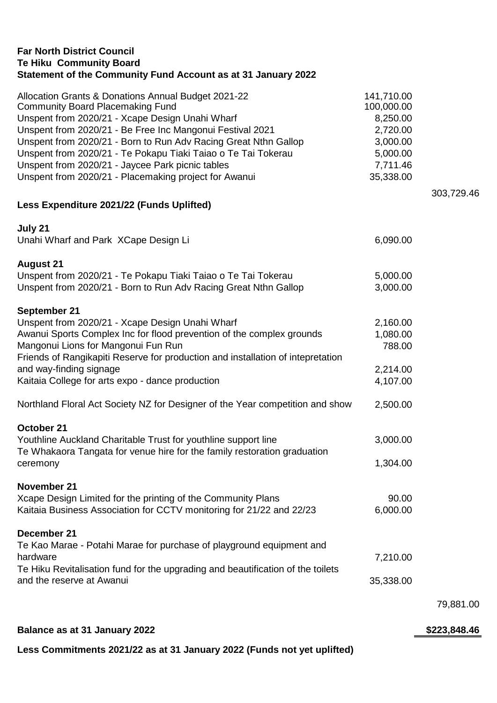| <b>Far North District Council</b><br><b>Te Hiku Community Board</b><br>Statement of the Community Fund Account as at 31 January 2022                                                                                                          |                                                  |              |
|-----------------------------------------------------------------------------------------------------------------------------------------------------------------------------------------------------------------------------------------------|--------------------------------------------------|--------------|
| Allocation Grants & Donations Annual Budget 2021-22<br><b>Community Board Placemaking Fund</b><br>Unspent from 2020/21 - Xcape Design Unahi Wharf<br>Unspent from 2020/21 - Be Free Inc Mangonui Festival 2021                                | 141,710.00<br>100,000.00<br>8,250.00<br>2,720.00 |              |
| Unspent from 2020/21 - Born to Run Adv Racing Great Nthn Gallop<br>Unspent from 2020/21 - Te Pokapu Tiaki Taiao o Te Tai Tokerau<br>Unspent from 2020/21 - Jaycee Park picnic tables<br>Unspent from 2020/21 - Placemaking project for Awanui | 3,000.00<br>5,000.00<br>7,711.46<br>35,338.00    |              |
| Less Expenditure 2021/22 (Funds Uplifted)                                                                                                                                                                                                     |                                                  | 303,729.46   |
| July 21                                                                                                                                                                                                                                       |                                                  |              |
| Unahi Wharf and Park XCape Design Li                                                                                                                                                                                                          | 6,090.00                                         |              |
| <b>August 21</b><br>Unspent from 2020/21 - Te Pokapu Tiaki Taiao o Te Tai Tokerau<br>Unspent from 2020/21 - Born to Run Adv Racing Great Nthn Gallop                                                                                          | 5,000.00<br>3,000.00                             |              |
| September 21<br>Unspent from 2020/21 - Xcape Design Unahi Wharf<br>Awanui Sports Complex Inc for flood prevention of the complex grounds<br>Mangonui Lions for Mangonui Fun Run                                                               | 2,160.00<br>1,080.00<br>788.00                   |              |
| Friends of Rangikapiti Reserve for production and installation of intepretation<br>and way-finding signage<br>Kaitaia College for arts expo - dance production                                                                                | 2,214.00<br>4,107.00                             |              |
| Northland Floral Act Society NZ for Designer of the Year competition and show                                                                                                                                                                 | 2,500.00                                         |              |
| October 21<br>Youthline Auckland Charitable Trust for youthline support line<br>Te Whakaora Tangata for venue hire for the family restoration graduation                                                                                      | 3,000.00                                         |              |
| ceremony                                                                                                                                                                                                                                      | 1,304.00                                         |              |
| November 21<br>Xcape Design Limited for the printing of the Community Plans                                                                                                                                                                   | 90.00                                            |              |
| Kaitaia Business Association for CCTV monitoring for 21/22 and 22/23                                                                                                                                                                          | 6,000.00                                         |              |
| December 21<br>Te Kao Marae - Potahi Marae for purchase of playground equipment and<br>hardware<br>Te Hiku Revitalisation fund for the upgrading and beautification of the toilets                                                            | 7,210.00                                         |              |
| and the reserve at Awanui                                                                                                                                                                                                                     | 35,338.00                                        |              |
|                                                                                                                                                                                                                                               |                                                  | 79,881.00    |
| Balance as at 31 January 2022                                                                                                                                                                                                                 |                                                  | \$223,848.46 |

**Less Commitments 2021/22 as at 31 January 2022 (Funds not yet uplifted)**